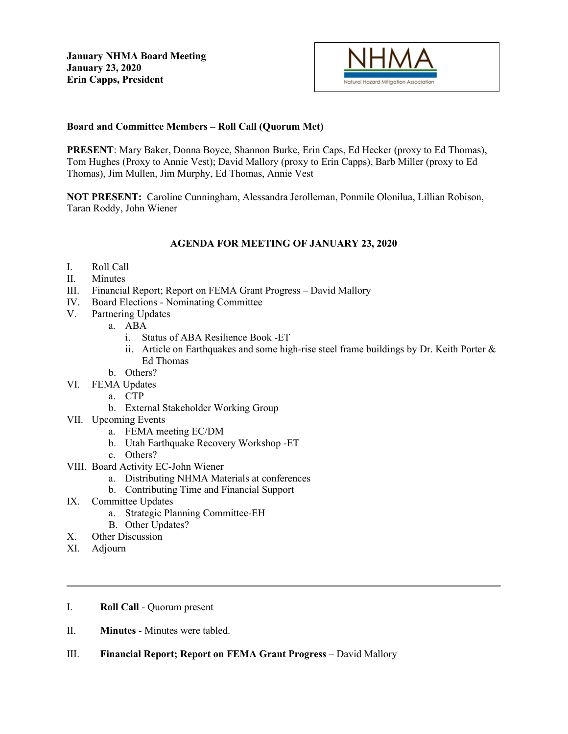

# **Board and Committee Members – Roll Call (Quorum Met)**

**PRESENT**: Mary Baker, Donna Boyce, Shannon Burke, Erin Caps, Ed Hecker (proxy to Ed Thomas), Tom Hughes (Proxy to Annie Vest); David Mallory (proxy to Erin Capps), Barb Miller (proxy to Ed Thomas), Jim Mullen, Jim Murphy, Ed Thomas, Annie Vest

**NOT PRESENT:** Caroline Cunningham, Alessandra Jerolleman, Ponmile Olonilua, Lillian Robison, Taran Roddy, John Wiener

# **AGENDA FOR MEETING OF JANUARY 23, 2020**

- I. Roll Call
- II. Minutes
- III. Financial Report; Report on FEMA Grant Progress David Mallory
- IV. Board Elections Nominating Committee
- V. Partnering Updates
	- a. ABA
		- i. Status of ABA Resilience Book -ET
		- ii. Article on Earthquakes and some high-rise steel frame buildings by Dr. Keith Porter  $\&$ Ed Thomas
	- b. Others?
- VI. FEMA Updates
	- a. CTP
	- b. External Stakeholder Working Group
- VII. Upcoming Events
	- a. FEMA meeting EC/DM
	- b. Utah Earthquake Recovery Workshop -ET
	- c. Others?
- VIII. Board Activity EC-John Wiener
	- a. Distributing NHMA Materials at conferences
	- b. Contributing Time and Financial Support
- IX. Committee Updates
	- a. Strategic Planning Committee-EH
	- B. Other Updates?
- X. Other Discussion
- XI. Adjourn
- I. **Roll Call** Quorum present
- II. **Minutes** Minutes were tabled.
- III. **Financial Report; Report on FEMA Grant Progress** David Mallory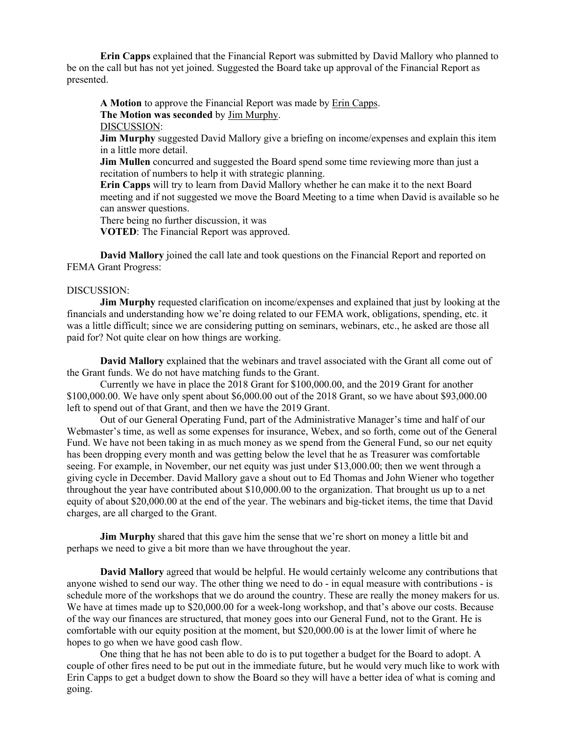**Erin Capps** explained that the Financial Report was submitted by David Mallory who planned to be on the call but has not yet joined. Suggested the Board take up approval of the Financial Report as presented.

**A Motion** to approve the Financial Report was made by Erin Capps. **The Motion was seconded** by Jim Murphy. DISCUSSION:

**Jim Murphy** suggested David Mallory give a briefing on income/expenses and explain this item in a little more detail.

**Jim Mullen** concurred and suggested the Board spend some time reviewing more than just a recitation of numbers to help it with strategic planning.

**Erin Capps** will try to learn from David Mallory whether he can make it to the next Board meeting and if not suggested we move the Board Meeting to a time when David is available so he can answer questions.

There being no further discussion, it was

**VOTED**: The Financial Report was approved.

**David Mallory** joined the call late and took questions on the Financial Report and reported on FEMA Grant Progress:

## DISCUSSION:

**Jim Murphy** requested clarification on income/expenses and explained that just by looking at the financials and understanding how we're doing related to our FEMA work, obligations, spending, etc. it was a little difficult; since we are considering putting on seminars, webinars, etc., he asked are those all paid for? Not quite clear on how things are working.

**David Mallory** explained that the webinars and travel associated with the Grant all come out of the Grant funds. We do not have matching funds to the Grant.

Currently we have in place the 2018 Grant for \$100,000.00, and the 2019 Grant for another \$100,000.00. We have only spent about \$6,000.00 out of the 2018 Grant, so we have about \$93,000.00 left to spend out of that Grant, and then we have the 2019 Grant.

Out of our General Operating Fund, part of the Administrative Manager's time and half of our Webmaster's time, as well as some expenses for insurance, Webex, and so forth, come out of the General Fund. We have not been taking in as much money as we spend from the General Fund, so our net equity has been dropping every month and was getting below the level that he as Treasurer was comfortable seeing. For example, in November, our net equity was just under \$13,000.00; then we went through a giving cycle in December. David Mallory gave a shout out to Ed Thomas and John Wiener who together throughout the year have contributed about \$10,000.00 to the organization. That brought us up to a net equity of about \$20,000.00 at the end of the year. The webinars and big-ticket items, the time that David charges, are all charged to the Grant.

**Jim Murphy** shared that this gave him the sense that we're short on money a little bit and perhaps we need to give a bit more than we have throughout the year.

**David Mallory** agreed that would be helpful. He would certainly welcome any contributions that anyone wished to send our way. The other thing we need to do - in equal measure with contributions - is schedule more of the workshops that we do around the country. These are really the money makers for us. We have at times made up to  $$20,000.00$  for a week-long workshop, and that's above our costs. Because of the way our finances are structured, that money goes into our General Fund, not to the Grant. He is comfortable with our equity position at the moment, but \$20,000.00 is at the lower limit of where he hopes to go when we have good cash flow.

One thing that he has not been able to do is to put together a budget for the Board to adopt. A couple of other fires need to be put out in the immediate future, but he would very much like to work with Erin Capps to get a budget down to show the Board so they will have a better idea of what is coming and going.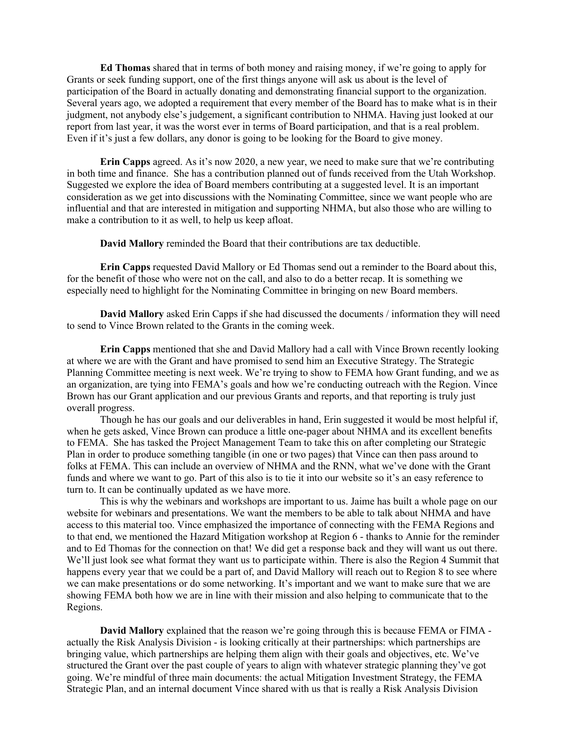**Ed Thomas** shared that in terms of both money and raising money, if we're going to apply for Grants or seek funding support, one of the first things anyone will ask us about is the level of participation of the Board in actually donating and demonstrating financial support to the organization. Several years ago, we adopted a requirement that every member of the Board has to make what is in their judgment, not anybody else's judgement, a significant contribution to NHMA. Having just looked at our report from last year, it was the worst ever in terms of Board participation, and that is a real problem. Even if it's just a few dollars, any donor is going to be looking for the Board to give money.

**Erin Capps** agreed. As it's now 2020, a new year, we need to make sure that we're contributing in both time and finance. She has a contribution planned out of funds received from the Utah Workshop. Suggested we explore the idea of Board members contributing at a suggested level. It is an important consideration as we get into discussions with the Nominating Committee, since we want people who are influential and that are interested in mitigation and supporting NHMA, but also those who are willing to make a contribution to it as well, to help us keep afloat.

**David Mallory** reminded the Board that their contributions are tax deductible.

**Erin Capps** requested David Mallory or Ed Thomas send out a reminder to the Board about this, for the benefit of those who were not on the call, and also to do a better recap. It is something we especially need to highlight for the Nominating Committee in bringing on new Board members.

**David Mallory** asked Erin Capps if she had discussed the documents / information they will need to send to Vince Brown related to the Grants in the coming week.

**Erin Capps** mentioned that she and David Mallory had a call with Vince Brown recently looking at where we are with the Grant and have promised to send him an Executive Strategy. The Strategic Planning Committee meeting is next week. We're trying to show to FEMA how Grant funding, and we as an organization, are tying into FEMA's goals and how we're conducting outreach with the Region. Vince Brown has our Grant application and our previous Grants and reports, and that reporting is truly just overall progress.

Though he has our goals and our deliverables in hand, Erin suggested it would be most helpful if, when he gets asked, Vince Brown can produce a little one-pager about NHMA and its excellent benefits to FEMA. She has tasked the Project Management Team to take this on after completing our Strategic Plan in order to produce something tangible (in one or two pages) that Vince can then pass around to folks at FEMA. This can include an overview of NHMA and the RNN, what we've done with the Grant funds and where we want to go. Part of this also is to tie it into our website so it's an easy reference to turn to. It can be continually updated as we have more.

This is why the webinars and workshops are important to us. Jaime has built a whole page on our website for webinars and presentations. We want the members to be able to talk about NHMA and have access to this material too. Vince emphasized the importance of connecting with the FEMA Regions and to that end, we mentioned the Hazard Mitigation workshop at Region 6 - thanks to Annie for the reminder and to Ed Thomas for the connection on that! We did get a response back and they will want us out there. We'll just look see what format they want us to participate within. There is also the Region 4 Summit that happens every year that we could be a part of, and David Mallory will reach out to Region 8 to see where we can make presentations or do some networking. It's important and we want to make sure that we are showing FEMA both how we are in line with their mission and also helping to communicate that to the Regions.

**David Mallory** explained that the reason we're going through this is because FEMA or FIMA actually the Risk Analysis Division - is looking critically at their partnerships: which partnerships are bringing value, which partnerships are helping them align with their goals and objectives, etc. We've structured the Grant over the past couple of years to align with whatever strategic planning they've got going. We're mindful of three main documents: the actual Mitigation Investment Strategy, the FEMA Strategic Plan, and an internal document Vince shared with us that is really a Risk Analysis Division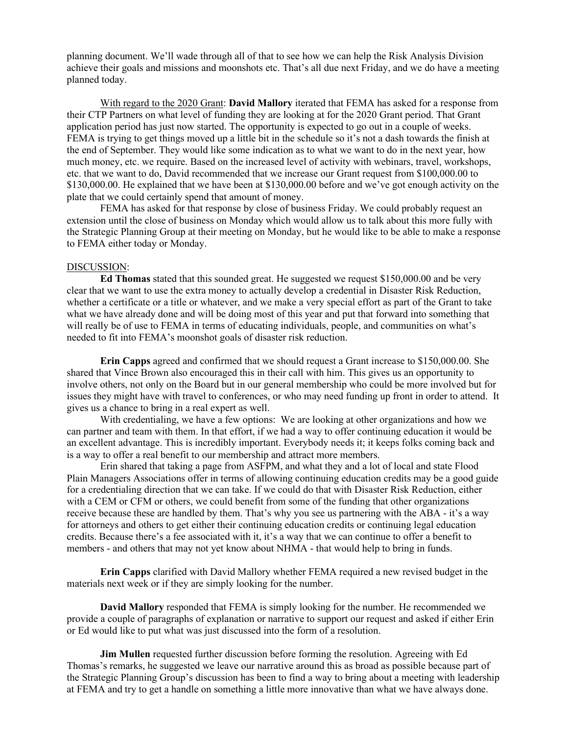planning document. We'll wade through all of that to see how we can help the Risk Analysis Division achieve their goals and missions and moonshots etc. That's all due next Friday, and we do have a meeting planned today.

With regard to the 2020 Grant: **David Mallory** iterated that FEMA has asked for a response from their CTP Partners on what level of funding they are looking at for the 2020 Grant period. That Grant application period has just now started. The opportunity is expected to go out in a couple of weeks. FEMA is trying to get things moved up a little bit in the schedule so it's not a dash towards the finish at the end of September. They would like some indication as to what we want to do in the next year, how much money, etc. we require. Based on the increased level of activity with webinars, travel, workshops, etc. that we want to do, David recommended that we increase our Grant request from \$100,000.00 to \$130,000.00. He explained that we have been at \$130,000.00 before and we've got enough activity on the plate that we could certainly spend that amount of money.

FEMA has asked for that response by close of business Friday. We could probably request an extension until the close of business on Monday which would allow us to talk about this more fully with the Strategic Planning Group at their meeting on Monday, but he would like to be able to make a response to FEMA either today or Monday.

#### DISCUSSION:

**Ed Thomas** stated that this sounded great. He suggested we request \$150,000.00 and be very clear that we want to use the extra money to actually develop a credential in Disaster Risk Reduction, whether a certificate or a title or whatever, and we make a very special effort as part of the Grant to take what we have already done and will be doing most of this year and put that forward into something that will really be of use to FEMA in terms of educating individuals, people, and communities on what's needed to fit into FEMA's moonshot goals of disaster risk reduction.

**Erin Capps** agreed and confirmed that we should request a Grant increase to \$150,000.00. She shared that Vince Brown also encouraged this in their call with him. This gives us an opportunity to involve others, not only on the Board but in our general membership who could be more involved but for issues they might have with travel to conferences, or who may need funding up front in order to attend. It gives us a chance to bring in a real expert as well.

With credentialing, we have a few options: We are looking at other organizations and how we can partner and team with them. In that effort, if we had a way to offer continuing education it would be an excellent advantage. This is incredibly important. Everybody needs it; it keeps folks coming back and is a way to offer a real benefit to our membership and attract more members.

Erin shared that taking a page from ASFPM, and what they and a lot of local and state Flood Plain Managers Associations offer in terms of allowing continuing education credits may be a good guide for a credentialing direction that we can take. If we could do that with Disaster Risk Reduction, either with a CEM or CFM or others, we could benefit from some of the funding that other organizations receive because these are handled by them. That's why you see us partnering with the ABA - it's a way for attorneys and others to get either their continuing education credits or continuing legal education credits. Because there's a fee associated with it, it's a way that we can continue to offer a benefit to members - and others that may not yet know about NHMA - that would help to bring in funds.

**Erin Capps** clarified with David Mallory whether FEMA required a new revised budget in the materials next week or if they are simply looking for the number.

**David Mallory** responded that FEMA is simply looking for the number. He recommended we provide a couple of paragraphs of explanation or narrative to support our request and asked if either Erin or Ed would like to put what was just discussed into the form of a resolution.

**Jim Mullen** requested further discussion before forming the resolution. Agreeing with Ed Thomas's remarks, he suggested we leave our narrative around this as broad as possible because part of the Strategic Planning Group's discussion has been to find a way to bring about a meeting with leadership at FEMA and try to get a handle on something a little more innovative than what we have always done.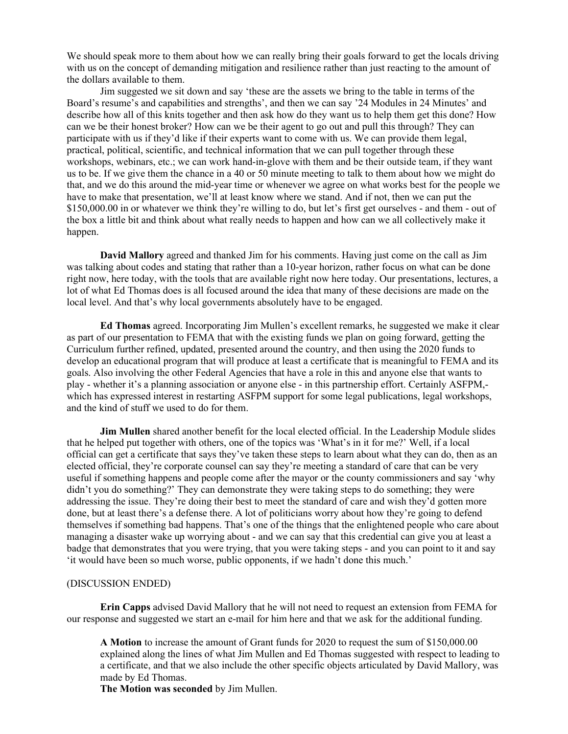We should speak more to them about how we can really bring their goals forward to get the locals driving with us on the concept of demanding mitigation and resilience rather than just reacting to the amount of the dollars available to them.

Jim suggested we sit down and say 'these are the assets we bring to the table in terms of the Board's resume's and capabilities and strengths', and then we can say '24 Modules in 24 Minutes' and describe how all of this knits together and then ask how do they want us to help them get this done? How can we be their honest broker? How can we be their agent to go out and pull this through? They can participate with us if they'd like if their experts want to come with us. We can provide them legal, practical, political, scientific, and technical information that we can pull together through these workshops, webinars, etc.; we can work hand-in-glove with them and be their outside team, if they want us to be. If we give them the chance in a 40 or 50 minute meeting to talk to them about how we might do that, and we do this around the mid-year time or whenever we agree on what works best for the people we have to make that presentation, we'll at least know where we stand. And if not, then we can put the \$150,000.00 in or whatever we think they're willing to do, but let's first get ourselves - and them - out of the box a little bit and think about what really needs to happen and how can we all collectively make it happen.

**David Mallory** agreed and thanked Jim for his comments. Having just come on the call as Jim was talking about codes and stating that rather than a 10-year horizon, rather focus on what can be done right now, here today, with the tools that are available right now here today. Our presentations, lectures, a lot of what Ed Thomas does is all focused around the idea that many of these decisions are made on the local level. And that's why local governments absolutely have to be engaged.

**Ed Thomas** agreed. Incorporating Jim Mullen's excellent remarks, he suggested we make it clear as part of our presentation to FEMA that with the existing funds we plan on going forward, getting the Curriculum further refined, updated, presented around the country, and then using the 2020 funds to develop an educational program that will produce at least a certificate that is meaningful to FEMA and its goals. Also involving the other Federal Agencies that have a role in this and anyone else that wants to play - whether it's a planning association or anyone else - in this partnership effort. Certainly ASFPM, which has expressed interest in restarting ASFPM support for some legal publications, legal workshops, and the kind of stuff we used to do for them.

**Jim Mullen** shared another benefit for the local elected official. In the Leadership Module slides that he helped put together with others, one of the topics was 'What's in it for me?' Well, if a local official can get a certificate that says they've taken these steps to learn about what they can do, then as an elected official, they're corporate counsel can say they're meeting a standard of care that can be very useful if something happens and people come after the mayor or the county commissioners and say 'why didn't you do something?' They can demonstrate they were taking steps to do something; they were addressing the issue. They're doing their best to meet the standard of care and wish they'd gotten more done, but at least there's a defense there. A lot of politicians worry about how they're going to defend themselves if something bad happens. That's one of the things that the enlightened people who care about managing a disaster wake up worrying about - and we can say that this credential can give you at least a badge that demonstrates that you were trying, that you were taking steps - and you can point to it and say 'it would have been so much worse, public opponents, if we hadn't done this much.'

## (DISCUSSION ENDED)

**Erin Capps** advised David Mallory that he will not need to request an extension from FEMA for our response and suggested we start an e-mail for him here and that we ask for the additional funding.

**A Motion** to increase the amount of Grant funds for 2020 to request the sum of \$150,000.00 explained along the lines of what Jim Mullen and Ed Thomas suggested with respect to leading to a certificate, and that we also include the other specific objects articulated by David Mallory, was made by Ed Thomas.

**The Motion was seconded** by Jim Mullen.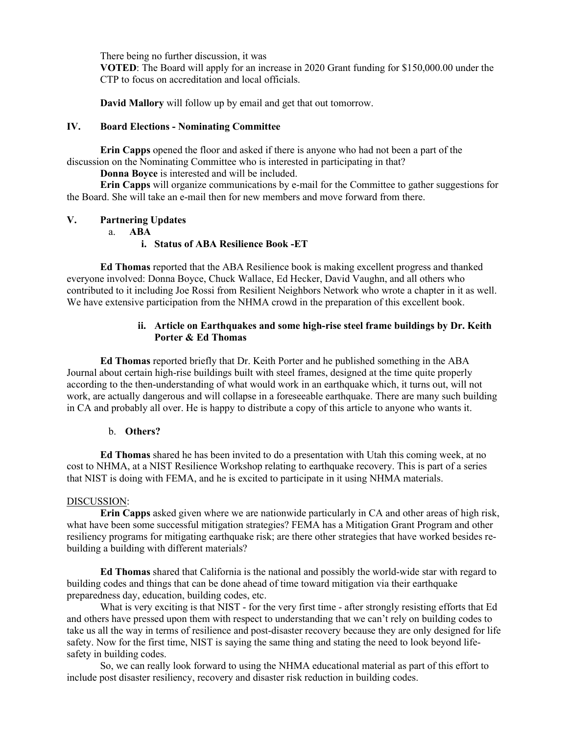There being no further discussion, it was

**VOTED**: The Board will apply for an increase in 2020 Grant funding for \$150,000.00 under the CTP to focus on accreditation and local officials.

**David Mallory** will follow up by email and get that out tomorrow.

# **IV. Board Elections - Nominating Committee**

**Erin Capps** opened the floor and asked if there is anyone who had not been a part of the discussion on the Nominating Committee who is interested in participating in that?

**Donna Boyce** is interested and will be included.

**Erin Capps** will organize communications by e-mail for the Committee to gather suggestions for the Board. She will take an e-mail then for new members and move forward from there.

# **V. Partnering Updates**

a. **ABA**

# **i. Status of ABA Resilience Book -ET**

**Ed Thomas** reported that the ABA Resilience book is making excellent progress and thanked everyone involved: Donna Boyce, Chuck Wallace, Ed Hecker, David Vaughn, and all others who contributed to it including Joe Rossi from Resilient Neighbors Network who wrote a chapter in it as well. We have extensive participation from the NHMA crowd in the preparation of this excellent book.

# **ii. Article on Earthquakes and some high-rise steel frame buildings by Dr. Keith Porter & Ed Thomas**

**Ed Thomas** reported briefly that Dr. Keith Porter and he published something in the ABA Journal about certain high-rise buildings built with steel frames, designed at the time quite properly according to the then-understanding of what would work in an earthquake which, it turns out, will not work, are actually dangerous and will collapse in a foreseeable earthquake. There are many such building in CA and probably all over. He is happy to distribute a copy of this article to anyone who wants it.

#### b. **Others?**

**Ed Thomas** shared he has been invited to do a presentation with Utah this coming week, at no cost to NHMA, at a NIST Resilience Workshop relating to earthquake recovery. This is part of a series that NIST is doing with FEMA, and he is excited to participate in it using NHMA materials.

#### DISCUSSION:

**Erin Capps** asked given where we are nationwide particularly in CA and other areas of high risk, what have been some successful mitigation strategies? FEMA has a Mitigation Grant Program and other resiliency programs for mitigating earthquake risk; are there other strategies that have worked besides rebuilding a building with different materials?

**Ed Thomas** shared that California is the national and possibly the world-wide star with regard to building codes and things that can be done ahead of time toward mitigation via their earthquake preparedness day, education, building codes, etc.

What is very exciting is that NIST - for the very first time - after strongly resisting efforts that Ed and others have pressed upon them with respect to understanding that we can't rely on building codes to take us all the way in terms of resilience and post-disaster recovery because they are only designed for life safety. Now for the first time, NIST is saying the same thing and stating the need to look beyond lifesafety in building codes.

So, we can really look forward to using the NHMA educational material as part of this effort to include post disaster resiliency, recovery and disaster risk reduction in building codes.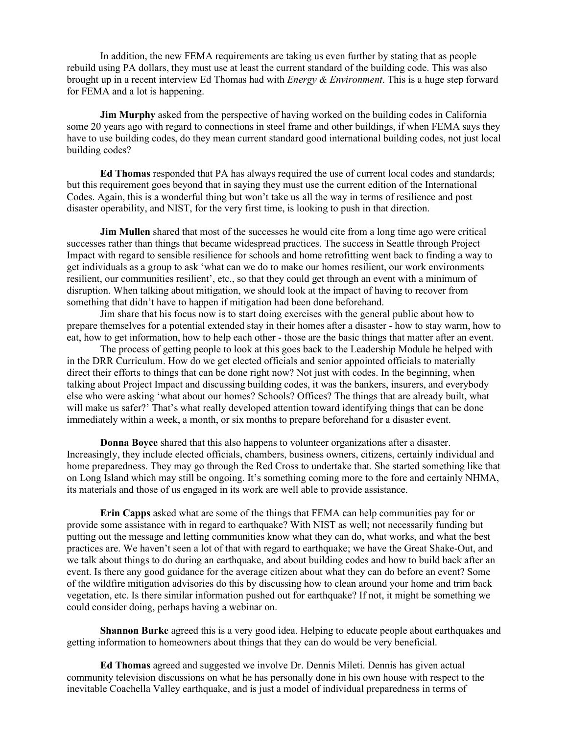In addition, the new FEMA requirements are taking us even further by stating that as people rebuild using PA dollars, they must use at least the current standard of the building code. This was also brought up in a recent interview Ed Thomas had with *Energy & Environment*. This is a huge step forward for FEMA and a lot is happening.

**Jim Murphy** asked from the perspective of having worked on the building codes in California some 20 years ago with regard to connections in steel frame and other buildings, if when FEMA says they have to use building codes, do they mean current standard good international building codes, not just local building codes?

**Ed Thomas** responded that PA has always required the use of current local codes and standards; but this requirement goes beyond that in saying they must use the current edition of the International Codes. Again, this is a wonderful thing but won't take us all the way in terms of resilience and post disaster operability, and NIST, for the very first time, is looking to push in that direction.

**Jim Mullen** shared that most of the successes he would cite from a long time ago were critical successes rather than things that became widespread practices. The success in Seattle through Project Impact with regard to sensible resilience for schools and home retrofitting went back to finding a way to get individuals as a group to ask 'what can we do to make our homes resilient, our work environments resilient, our communities resilient', etc., so that they could get through an event with a minimum of disruption. When talking about mitigation, we should look at the impact of having to recover from something that didn't have to happen if mitigation had been done beforehand.

Jim share that his focus now is to start doing exercises with the general public about how to prepare themselves for a potential extended stay in their homes after a disaster - how to stay warm, how to eat, how to get information, how to help each other - those are the basic things that matter after an event.

The process of getting people to look at this goes back to the Leadership Module he helped with in the DRR Curriculum. How do we get elected officials and senior appointed officials to materially direct their efforts to things that can be done right now? Not just with codes. In the beginning, when talking about Project Impact and discussing building codes, it was the bankers, insurers, and everybody else who were asking 'what about our homes? Schools? Offices? The things that are already built, what will make us safer?' That's what really developed attention toward identifying things that can be done immediately within a week, a month, or six months to prepare beforehand for a disaster event.

**Donna Boyce** shared that this also happens to volunteer organizations after a disaster. Increasingly, they include elected officials, chambers, business owners, citizens, certainly individual and home preparedness. They may go through the Red Cross to undertake that. She started something like that on Long Island which may still be ongoing. It's something coming more to the fore and certainly NHMA, its materials and those of us engaged in its work are well able to provide assistance.

**Erin Capps** asked what are some of the things that FEMA can help communities pay for or provide some assistance with in regard to earthquake? With NIST as well; not necessarily funding but putting out the message and letting communities know what they can do, what works, and what the best practices are. We haven't seen a lot of that with regard to earthquake; we have the Great Shake-Out, and we talk about things to do during an earthquake, and about building codes and how to build back after an event. Is there any good guidance for the average citizen about what they can do before an event? Some of the wildfire mitigation advisories do this by discussing how to clean around your home and trim back vegetation, etc. Is there similar information pushed out for earthquake? If not, it might be something we could consider doing, perhaps having a webinar on.

**Shannon Burke** agreed this is a very good idea. Helping to educate people about earthquakes and getting information to homeowners about things that they can do would be very beneficial.

**Ed Thomas** agreed and suggested we involve Dr. Dennis Mileti. Dennis has given actual community television discussions on what he has personally done in his own house with respect to the inevitable Coachella Valley earthquake, and is just a model of individual preparedness in terms of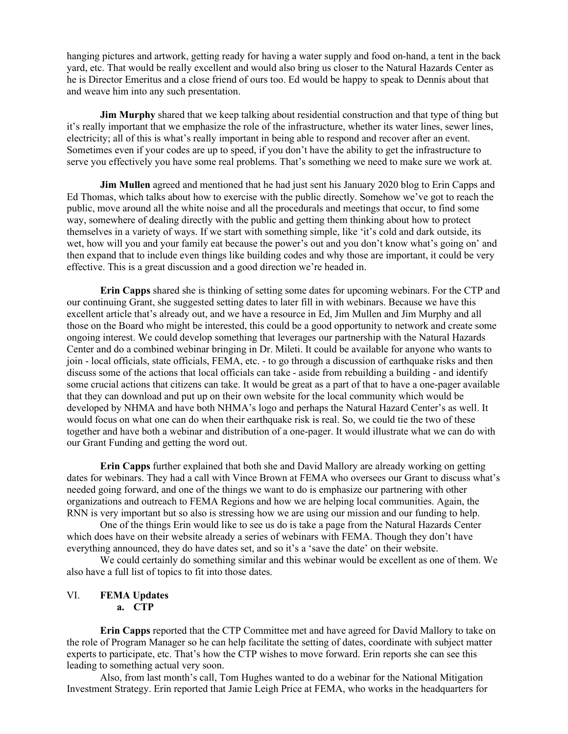hanging pictures and artwork, getting ready for having a water supply and food on-hand, a tent in the back yard, etc. That would be really excellent and would also bring us closer to the Natural Hazards Center as he is Director Emeritus and a close friend of ours too. Ed would be happy to speak to Dennis about that and weave him into any such presentation.

**Jim Murphy** shared that we keep talking about residential construction and that type of thing but it's really important that we emphasize the role of the infrastructure, whether its water lines, sewer lines, electricity; all of this is what's really important in being able to respond and recover after an event. Sometimes even if your codes are up to speed, if you don't have the ability to get the infrastructure to serve you effectively you have some real problems. That's something we need to make sure we work at.

**Jim Mullen** agreed and mentioned that he had just sent his January 2020 blog to Erin Capps and Ed Thomas, which talks about how to exercise with the public directly. Somehow we've got to reach the public, move around all the white noise and all the procedurals and meetings that occur, to find some way, somewhere of dealing directly with the public and getting them thinking about how to protect themselves in a variety of ways. If we start with something simple, like 'it's cold and dark outside, its wet, how will you and your family eat because the power's out and you don't know what's going on' and then expand that to include even things like building codes and why those are important, it could be very effective. This is a great discussion and a good direction we're headed in.

**Erin Capps** shared she is thinking of setting some dates for upcoming webinars. For the CTP and our continuing Grant, she suggested setting dates to later fill in with webinars. Because we have this excellent article that's already out, and we have a resource in Ed, Jim Mullen and Jim Murphy and all those on the Board who might be interested, this could be a good opportunity to network and create some ongoing interest. We could develop something that leverages our partnership with the Natural Hazards Center and do a combined webinar bringing in Dr. Mileti. It could be available for anyone who wants to join - local officials, state officials, FEMA, etc. - to go through a discussion of earthquake risks and then discuss some of the actions that local officials can take - aside from rebuilding a building - and identify some crucial actions that citizens can take. It would be great as a part of that to have a one-pager available that they can download and put up on their own website for the local community which would be developed by NHMA and have both NHMA's logo and perhaps the Natural Hazard Center's as well. It would focus on what one can do when their earthquake risk is real. So, we could tie the two of these together and have both a webinar and distribution of a one-pager. It would illustrate what we can do with our Grant Funding and getting the word out.

**Erin Capps** further explained that both she and David Mallory are already working on getting dates for webinars. They had a call with Vince Brown at FEMA who oversees our Grant to discuss what's needed going forward, and one of the things we want to do is emphasize our partnering with other organizations and outreach to FEMA Regions and how we are helping local communities. Again, the RNN is very important but so also is stressing how we are using our mission and our funding to help.

One of the things Erin would like to see us do is take a page from the Natural Hazards Center which does have on their website already a series of webinars with FEMA. Though they don't have everything announced, they do have dates set, and so it's a 'save the date' on their website.

We could certainly do something similar and this webinar would be excellent as one of them. We also have a full list of topics to fit into those dates.

#### VI. **FEMA Updates a. CTP**

**Erin Capps** reported that the CTP Committee met and have agreed for David Mallory to take on the role of Program Manager so he can help facilitate the setting of dates, coordinate with subject matter experts to participate, etc. That's how the CTP wishes to move forward. Erin reports she can see this leading to something actual very soon.

Also, from last month's call, Tom Hughes wanted to do a webinar for the National Mitigation Investment Strategy. Erin reported that Jamie Leigh Price at FEMA, who works in the headquarters for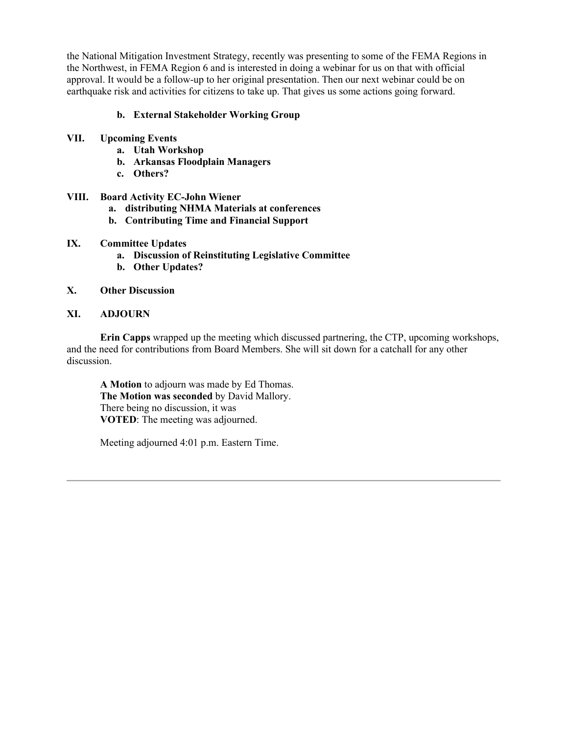the National Mitigation Investment Strategy, recently was presenting to some of the FEMA Regions in the Northwest, in FEMA Region 6 and is interested in doing a webinar for us on that with official approval. It would be a follow-up to her original presentation. Then our next webinar could be on earthquake risk and activities for citizens to take up. That gives us some actions going forward.

# **b. External Stakeholder Working Group**

- **VII. Upcoming Events**
	- **a. Utah Workshop**
	- **b. Arkansas Floodplain Managers**
	- **c. Others?**

# **VIII. Board Activity EC-John Wiener**

- **a. distributing NHMA Materials at conferences**
- **b. Contributing Time and Financial Support**
- **IX. Committee Updates**
	- **a. Discussion of Reinstituting Legislative Committee**
	- **b. Other Updates?**

# **X. Other Discussion**

# **XI. ADJOURN**

**Erin Capps** wrapped up the meeting which discussed partnering, the CTP, upcoming workshops, and the need for contributions from Board Members. She will sit down for a catchall for any other discussion.

**A Motion** to adjourn was made by Ed Thomas. **The Motion was seconded** by David Mallory. There being no discussion, it was **VOTED**: The meeting was adjourned.

Meeting adjourned 4:01 p.m. Eastern Time.